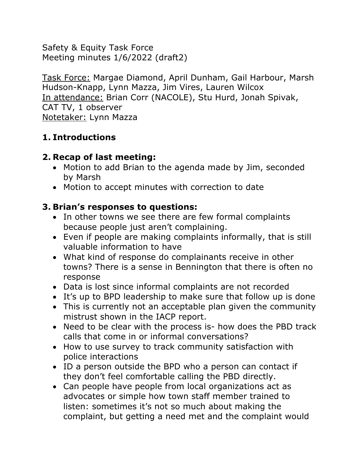Safety & Equity Task Force Meeting minutes 1/6/2022 (draft2)

Task Force: Margae Diamond, April Dunham, Gail Harbour, Marsh Hudson-Knapp, Lynn Mazza, Jim Vires, Lauren Wilcox In attendance: Brian Corr (NACOLE), Stu Hurd, Jonah Spivak, CAT TV, 1 observer Notetaker: Lynn Mazza

# **1. Introductions**

# **2. Recap of last meeting:**

- Motion to add Brian to the agenda made by Jim, seconded by Marsh
- Motion to accept minutes with correction to date

# **3. Brian's responses to questions:**

- In other towns we see there are few formal complaints because people just aren't complaining.
- Even if people are making complaints informally, that is still valuable information to have
- What kind of response do complainants receive in other towns? There is a sense in Bennington that there is often no response
- Data is lost since informal complaints are not recorded
- It's up to BPD leadership to make sure that follow up is done
- This is currently not an acceptable plan given the community mistrust shown in the IACP report.
- Need to be clear with the process is- how does the PBD track calls that come in or informal conversations?
- How to use survey to track community satisfaction with police interactions
- ID a person outside the BPD who a person can contact if they don't feel comfortable calling the PBD directly.
- Can people have people from local organizations act as advocates or simple how town staff member trained to listen: sometimes it's not so much about making the complaint, but getting a need met and the complaint would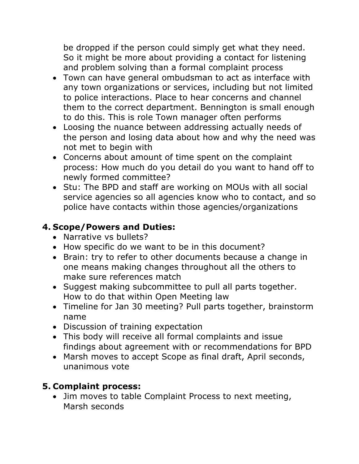be dropped if the person could simply get what they need. So it might be more about providing a contact for listening and problem solving than a formal complaint process

- Town can have general ombudsman to act as interface with any town organizations or services, including but not limited to police interactions. Place to hear concerns and channel them to the correct department. Bennington is small enough to do this. This is role Town manager often performs
- Loosing the nuance between addressing actually needs of the person and losing data about how and why the need was not met to begin with
- Concerns about amount of time spent on the complaint process: How much do you detail do you want to hand off to newly formed committee?
- Stu: The BPD and staff are working on MOUs with all social service agencies so all agencies know who to contact, and so police have contacts within those agencies/organizations

### **4. Scope/Powers and Duties:**

- Narrative vs bullets?
- How specific do we want to be in this document?
- Brain: try to refer to other documents because a change in one means making changes throughout all the others to make sure references match
- Suggest making subcommittee to pull all parts together. How to do that within Open Meeting law
- Timeline for Jan 30 meeting? Pull parts together, brainstorm name
- Discussion of training expectation
- This body will receive all formal complaints and issue findings about agreement with or recommendations for BPD
- Marsh moves to accept Scope as final draft, April seconds, unanimous vote

### **5. Complaint process:**

• Jim moves to table Complaint Process to next meeting, Marsh seconds